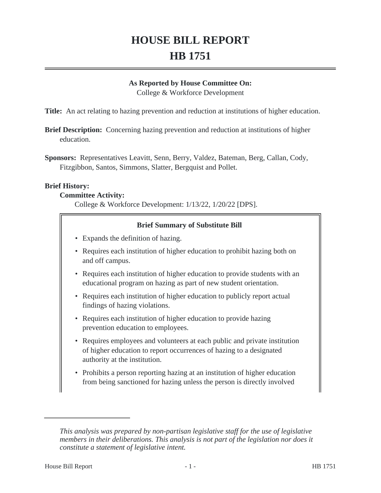# **HOUSE BILL REPORT HB 1751**

#### **As Reported by House Committee On:**

College & Workforce Development

**Title:** An act relating to hazing prevention and reduction at institutions of higher education.

- **Brief Description:** Concerning hazing prevention and reduction at institutions of higher education.
- **Sponsors:** Representatives Leavitt, Senn, Berry, Valdez, Bateman, Berg, Callan, Cody, Fitzgibbon, Santos, Simmons, Slatter, Bergquist and Pollet.

#### **Brief History:**

#### **Committee Activity:**

College & Workforce Development: 1/13/22, 1/20/22 [DPS].

#### **Brief Summary of Substitute Bill**

- Expands the definition of hazing.
- Requires each institution of higher education to prohibit hazing both on and off campus.
- Requires each institution of higher education to provide students with an educational program on hazing as part of new student orientation.
- Requires each institution of higher education to publicly report actual findings of hazing violations.
- Requires each institution of higher education to provide hazing prevention education to employees.
- Requires employees and volunteers at each public and private institution of higher education to report occurrences of hazing to a designated authority at the institution.
- Prohibits a person reporting hazing at an institution of higher education from being sanctioned for hazing unless the person is directly involved

*This analysis was prepared by non-partisan legislative staff for the use of legislative members in their deliberations. This analysis is not part of the legislation nor does it constitute a statement of legislative intent.*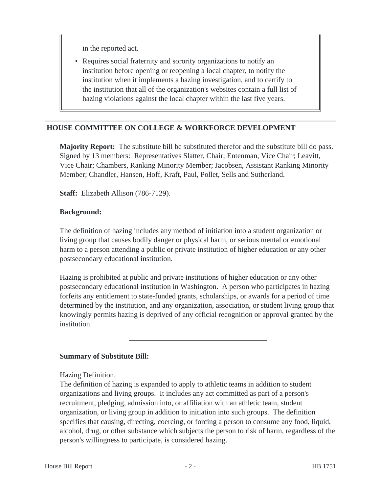in the reported act.

• Requires social fraternity and sorority organizations to notify an institution before opening or reopening a local chapter, to notify the institution when it implements a hazing investigation, and to certify to the institution that all of the organization's websites contain a full list of hazing violations against the local chapter within the last five years.

## **HOUSE COMMITTEE ON COLLEGE & WORKFORCE DEVELOPMENT**

**Majority Report:** The substitute bill be substituted therefor and the substitute bill do pass. Signed by 13 members: Representatives Slatter, Chair; Entenman, Vice Chair; Leavitt, Vice Chair; Chambers, Ranking Minority Member; Jacobsen, Assistant Ranking Minority Member; Chandler, Hansen, Hoff, Kraft, Paul, Pollet, Sells and Sutherland.

**Staff:** Elizabeth Allison (786-7129).

#### **Background:**

The definition of hazing includes any method of initiation into a student organization or living group that causes bodily danger or physical harm, or serious mental or emotional harm to a person attending a public or private institution of higher education or any other postsecondary educational institution.

Hazing is prohibited at public and private institutions of higher education or any other postsecondary educational institution in Washington. A person who participates in hazing forfeits any entitlement to state-funded grants, scholarships, or awards for a period of time determined by the institution, and any organization, association, or student living group that knowingly permits hazing is deprived of any official recognition or approval granted by the institution.

## **Summary of Substitute Bill:**

Hazing Definition.

The definition of hazing is expanded to apply to athletic teams in addition to student organizations and living groups. It includes any act committed as part of a person's recruitment, pledging, admission into, or affiliation with an athletic team, student organization, or living group in addition to initiation into such groups. The definition specifies that causing, directing, coercing, or forcing a person to consume any food, liquid, alcohol, drug, or other substance which subjects the person to risk of harm, regardless of the person's willingness to participate, is considered hazing.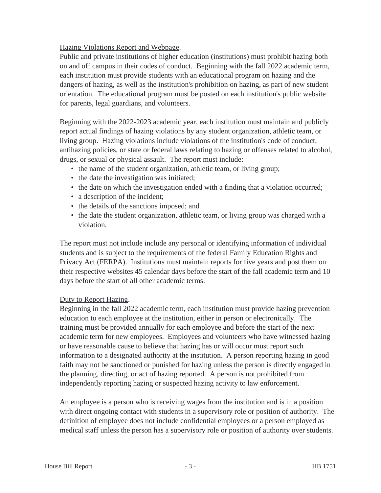## Hazing Violations Report and Webpage.

Public and private institutions of higher education (institutions) must prohibit hazing both on and off campus in their codes of conduct. Beginning with the fall 2022 academic term, each institution must provide students with an educational program on hazing and the dangers of hazing, as well as the institution's prohibition on hazing, as part of new student orientation. The educational program must be posted on each institution's public website for parents, legal guardians, and volunteers.

Beginning with the 2022-2023 academic year, each institution must maintain and publicly report actual findings of hazing violations by any student organization, athletic team, or living group. Hazing violations include violations of the institution's code of conduct, antihazing policies, or state or federal laws relating to hazing or offenses related to alcohol, drugs, or sexual or physical assault. The report must include:

- the name of the student organization, athletic team, or living group;
- the date the investigation was initiated;
- the date on which the investigation ended with a finding that a violation occurred;
- a description of the incident;
- the details of the sanctions imposed; and
- the date the student organization, athletic team, or living group was charged with a violation.

The report must not include include any personal or identifying information of individual students and is subject to the requirements of the federal Family Education Rights and Privacy Act (FERPA). Institutions must maintain reports for five years and post them on their respective websites 45 calendar days before the start of the fall academic term and 10 days before the start of all other academic terms.

## Duty to Report Hazing.

Beginning in the fall 2022 academic term, each institution must provide hazing prevention education to each employee at the institution, either in person or electronically. The training must be provided annually for each employee and before the start of the next academic term for new employees. Employees and volunteers who have witnessed hazing or have reasonable cause to believe that hazing has or will occur must report such information to a designated authority at the institution. A person reporting hazing in good faith may not be sanctioned or punished for hazing unless the person is directly engaged in the planning, directing, or act of hazing reported. A person is not prohibited from independently reporting hazing or suspected hazing activity to law enforcement.

An employee is a person who is receiving wages from the institution and is in a position with direct ongoing contact with students in a supervisory role or position of authority. The definition of employee does not include confidential employees or a person employed as medical staff unless the person has a supervisory role or position of authority over students.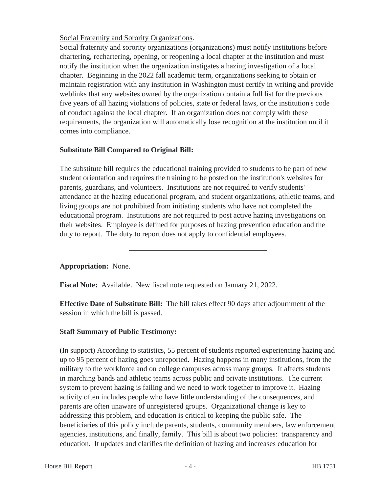Social Fraternity and Sorority Organizations.

Social fraternity and sorority organizations (organizations) must notify institutions before chartering, rechartering, opening, or reopening a local chapter at the institution and must notify the institution when the organization instigates a hazing investigation of a local chapter. Beginning in the 2022 fall academic term, organizations seeking to obtain or maintain registration with any institution in Washington must certify in writing and provide weblinks that any websites owned by the organization contain a full list for the previous five years of all hazing violations of policies, state or federal laws, or the institution's code of conduct against the local chapter. If an organization does not comply with these requirements, the organization will automatically lose recognition at the institution until it comes into compliance.

# **Substitute Bill Compared to Original Bill:**

The substitute bill requires the educational training provided to students to be part of new student orientation and requires the training to be posted on the institution's websites for parents, guardians, and volunteers. Institutions are not required to verify students' attendance at the hazing educational program, and student organizations, athletic teams, and living groups are not prohibited from initiating students who have not completed the educational program. Institutions are not required to post active hazing investigations on their websites. Employee is defined for purposes of hazing prevention education and the duty to report. The duty to report does not apply to confidential employees.

# **Appropriation:** None.

**Fiscal Note:** Available. New fiscal note requested on January 21, 2022.

**Effective Date of Substitute Bill:** The bill takes effect 90 days after adjournment of the session in which the bill is passed.

# **Staff Summary of Public Testimony:**

(In support) According to statistics, 55 percent of students reported experiencing hazing and up to 95 percent of hazing goes unreported. Hazing happens in many institutions, from the military to the workforce and on college campuses across many groups. It affects students in marching bands and athletic teams across public and private institutions. The current system to prevent hazing is failing and we need to work together to improve it. Hazing activity often includes people who have little understanding of the consequences, and parents are often unaware of unregistered groups. Organizational change is key to addressing this problem, and education is critical to keeping the public safe. The beneficiaries of this policy include parents, students, community members, law enforcement agencies, institutions, and finally, family. This bill is about two policies: transparency and education. It updates and clarifies the definition of hazing and increases education for